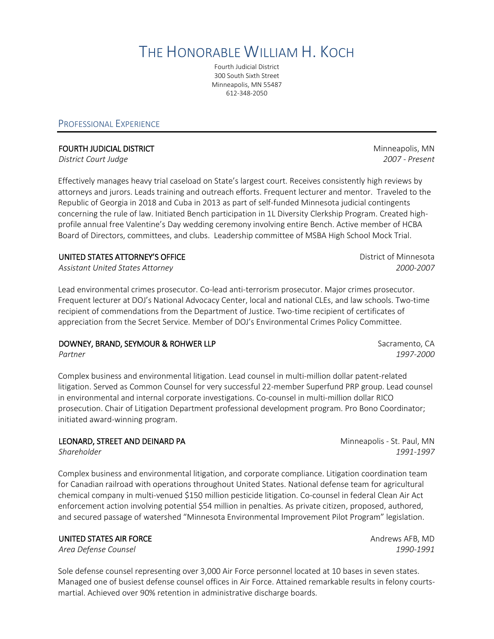THE HONORABLE WILLIAM H. KOCH

Fourth Judicial District 300 South Sixth Street Minneapolis, MN 55487 612-348-2050

## PROFESSIONAL EXPERIENCE

*District Court Judge 2007 - Present*

Effectively manages heavy trial caseload on State's largest court. Receives consistently high reviews by attorneys and jurors. Leads training and outreach efforts. Frequent lecturer and mentor. Traveled to the Republic of Georgia in 2018 and Cuba in 2013 as part of self-funded Minnesota judicial contingents concerning the rule of law. Initiated Bench participation in 1L Diversity Clerkship Program. Created highprofile annual free Valentine's Day wedding ceremony involving entire Bench. Active member of HCBA Board of Directors, committees, and clubs. Leadership committee of MSBA High School Mock Trial.

# UNITED STATES ATTORNEY'S OFFICE **Example 20 and 20 and 20 and 20 and 20 and 20 and 20 and 20 and 20 and 20 and 20 and 20 and 20 and 20 and 20 and 20 and 20 and 20 and 20 and 20 and 20 and 20 and 20 and 20 and 20 and 20 and**

*Assistant United States Attorney 2000-2007*

Lead environmental crimes prosecutor. Co-lead anti-terrorism prosecutor. Major crimes prosecutor. Frequent lecturer at DOJ's National Advocacy Center, local and national CLEs, and law schools. Two-time recipient of commendations from the Department of Justice. Two-time recipient of certificates of appreciation from the Secret Service. Member of DOJ's Environmental Crimes Policy Committee.

# DOWNEY, BRAND, SEYMOUR & ROHWER LLP Sacramento, CA

*Partner 1997-2000*

Complex business and environmental litigation. Lead counsel in multi-million dollar patent-related litigation. Served as Common Counsel for very successful 22-member Superfund PRP group. Lead counsel in environmental and internal corporate investigations. Co-counsel in multi-million dollar RICO prosecution. Chair of Litigation Department professional development program. Pro Bono Coordinator; initiated award-winning program.

# LEONARD, STREET AND DEINARD PA **Minneapolis - St. Paul, MN**

Complex business and environmental litigation, and corporate compliance. Litigation coordination team for Canadian railroad with operations throughout United States. National defense team for agricultural chemical company in multi-venued \$150 million pesticide litigation. Co-counsel in federal Clean Air Act enforcement action involving potential \$54 million in penalties. As private citizen, proposed, authored, and secured passage of watershed "Minnesota Environmental Improvement Pilot Program" legislation.

#### UNITED STATES AIR FORCE AND THE STATES AIR FORCE AND THE STATES AND THE STATES AND THE STATES AND THE STATES AND

*Area Defense Counsel 1990-1991*

Sole defense counsel representing over 3,000 Air Force personnel located at 10 bases in seven states. Managed one of busiest defense counsel offices in Air Force. Attained remarkable results in felony courtsmartial. Achieved over 90% retention in administrative discharge boards.

*Shareholder 1991-1997*

**FOURTH JUDICIAL DISTRICT EXECUTE:** THE SECOND MINIMUM CONTROL MINIMUM MINNEAPOLIS, MN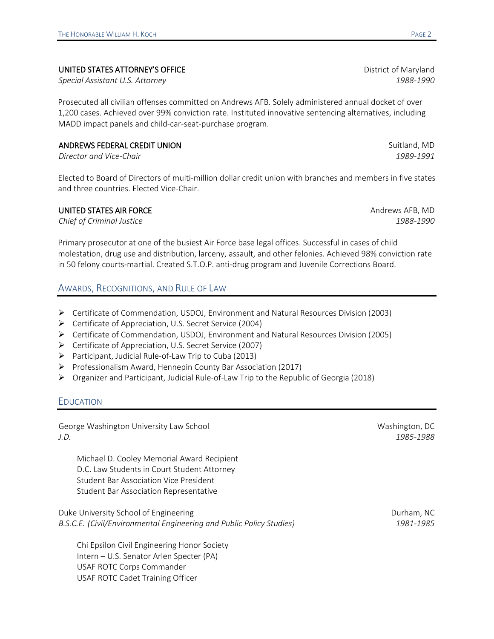#### UNITED STATES ATTORNEY'S OFFICE **Example 2008** District of Maryland

*Special Assistant U.S. Attorney 1988-1990*

Prosecuted all civilian offenses committed on Andrews AFB. Solely administered annual docket of over 1,200 cases. Achieved over 99% conviction rate. Instituted innovative sentencing alternatives, including MADD impact panels and child-car-seat-purchase program.

#### ANDREWS FEDERAL CREDIT UNION SUIT AND SUIT AND SUIT AND SUIT AND SUIT AND SUIT AND SUIT AND SUIT AND SUIT AND SUIT AND SUIT AND SUIT AND SUIT AND SUIT AND SUIT AND SUIT AND SUIT AND SUIT AND SUIT AND SUIT AND SUIT AND SUIT

*Director and Vice-Chair 1989-1991*

Elected to Board of Directors of multi-million dollar credit union with branches and members in five states and three countries. Elected Vice-Chair.

### UNITED STATES AIR FORCE AND THE STATES AIR FORCE AND THE STATES AND THE STATES AND THE STATES AND THE STATES AND

*Chief of Criminal Justice 1988-1990*

Primary prosecutor at one of the busiest Air Force base legal offices. Successful in cases of child molestation, drug use and distribution, larceny, assault, and other felonies. Achieved 98% conviction rate in 50 felony courts-martial. Created S.T.O.P. anti-drug program and Juvenile Corrections Board.

# AWARDS, RECOGNITIONS, AND RULE OF LAW

- Certificate of Commendation, USDOJ, Environment and Natural Resources Division (2003)
- Certificate of Appreciation, U.S. Secret Service (2004)
- Certificate of Commendation, USDOJ, Environment and Natural Resources Division (2005)
- Certificate of Appreciation, U.S. Secret Service (2007)
- Participant, Judicial Rule-of-Law Trip to Cuba (2013)
- $\triangleright$  Professionalism Award, Hennepin County Bar Association (2017)
- $\triangleright$  Organizer and Participant, Judicial Rule-of-Law Trip to the Republic of Georgia (2018)

# EDUCATION

George Washington University Law School National Washington, DC Nashington, DC *J.D. 1985-1988*

Michael D. Cooley Memorial Award Recipient D.C. Law Students in Court Student Attorney Student Bar Association Vice President Student Bar Association Representative

Duke University School of Engineering Durham, NC and Durham, NC *B.S.C.E. (Civil/Environmental Engineering and Public Policy Studies) 1981-1985*

Chi Epsilon Civil Engineering Honor Society Intern – U.S. Senator Arlen Specter (PA) USAF ROTC Corps Commander USAF ROTC Cadet Training Officer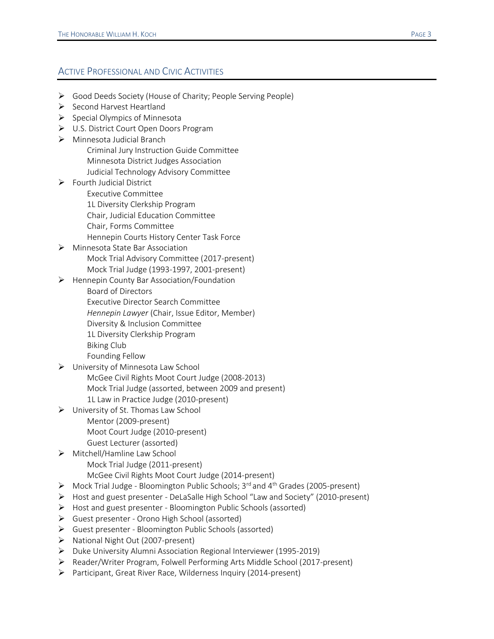# ACTIVE PROFESSIONAL AND CIVIC ACTIVITIES

- Good Deeds Society (House of Charity; People Serving People)
- $\triangleright$  Second Harvest Heartland
- $\triangleright$  Special Olympics of Minnesota
- U.S. District Court Open Doors Program
- Minnesota Judicial Branch Criminal Jury Instruction Guide Committee Minnesota District Judges Association Judicial Technology Advisory Committee
- ▶ Fourth Judicial District
	- Executive Committee
	- 1L Diversity Clerkship Program
	- Chair, Judicial Education Committee
	- Chair, Forms Committee
	- Hennepin Courts History Center Task Force
- Minnesota State Bar Association Mock Trial Advisory Committee (2017-present) Mock Trial Judge (1993-1997, 2001-present)
- $\triangleright$  Hennepin County Bar Association/Foundation
	- Board of Directors
	- Executive Director Search Committee
	- *Hennepin Lawyer* (Chair, Issue Editor, Member)
	- Diversity & Inclusion Committee
	- 1L Diversity Clerkship Program
	- Biking Club
	- Founding Fellow
- University of Minnesota Law School McGee Civil Rights Moot Court Judge (2008-2013) Mock Trial Judge (assorted, between 2009 and present) 1L Law in Practice Judge (2010-present)
- $\triangleright$  University of St. Thomas Law School Mentor (2009-present) Moot Court Judge (2010-present) Guest Lecturer (assorted)

# ▶ Mitchell/Hamline Law School Mock Trial Judge (2011-present) McGee Civil Rights Moot Court Judge (2014-present)

- $\triangleright$  Mock Trial Judge Bloomington Public Schools; 3<sup>rd</sup> and 4<sup>th</sup> Grades (2005-present)
- Host and guest presenter DeLaSalle High School "Law and Society" (2010-present)
- Host and guest presenter Bloomington Public Schools (assorted)
- Guest presenter Orono High School (assorted)
- $\triangleright$  Guest presenter Bloomington Public Schools (assorted)
- > National Night Out (2007-present)
- $\triangleright$  Duke University Alumni Association Regional Interviewer (1995-2019)
- Reader/Writer Program, Folwell Performing Arts Middle School (2017-present)
- Participant, Great River Race, Wilderness Inquiry (2014-present)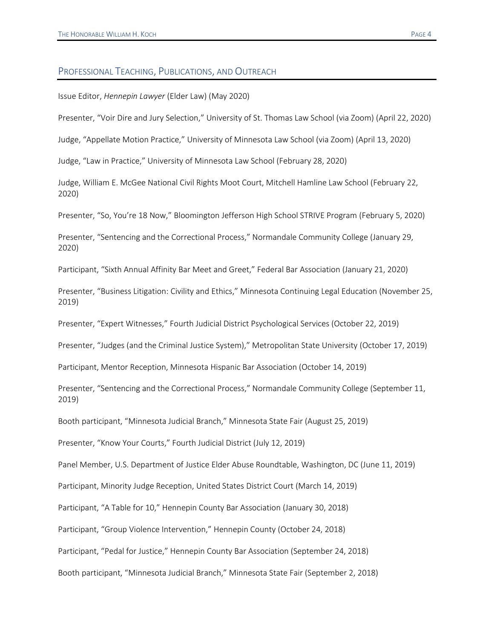#### PROFESSIONAL TEACHING, PUBLICATIONS, AND OUTREACH

Issue Editor, *Hennepin Lawyer* (Elder Law) (May 2020)

Presenter, "Voir Dire and Jury Selection," University of St. Thomas Law School (via Zoom) (April 22, 2020)

Judge, "Appellate Motion Practice," University of Minnesota Law School (via Zoom) (April 13, 2020)

Judge, "Law in Practice," University of Minnesota Law School (February 28, 2020)

Judge, William E. McGee National Civil Rights Moot Court, Mitchell Hamline Law School (February 22, 2020)

Presenter, "So, You're 18 Now," Bloomington Jefferson High School STRIVE Program (February 5, 2020)

Presenter, "Sentencing and the Correctional Process," Normandale Community College (January 29, 2020)

Participant, "Sixth Annual Affinity Bar Meet and Greet," Federal Bar Association (January 21, 2020)

Presenter, "Business Litigation: Civility and Ethics," Minnesota Continuing Legal Education (November 25, 2019)

Presenter, "Expert Witnesses," Fourth Judicial District Psychological Services (October 22, 2019)

Presenter, "Judges (and the Criminal Justice System)," Metropolitan State University (October 17, 2019)

Participant, Mentor Reception, Minnesota Hispanic Bar Association (October 14, 2019)

Presenter, "Sentencing and the Correctional Process," Normandale Community College (September 11, 2019)

Booth participant, "Minnesota Judicial Branch," Minnesota State Fair (August 25, 2019)

Presenter, "Know Your Courts," Fourth Judicial District (July 12, 2019)

Panel Member, U.S. Department of Justice Elder Abuse Roundtable, Washington, DC (June 11, 2019)

Participant, Minority Judge Reception, United States District Court (March 14, 2019)

Participant, "A Table for 10," Hennepin County Bar Association (January 30, 2018)

Participant, "Group Violence Intervention," Hennepin County (October 24, 2018)

Participant, "Pedal for Justice," Hennepin County Bar Association (September 24, 2018)

Booth participant, "Minnesota Judicial Branch," Minnesota State Fair (September 2, 2018)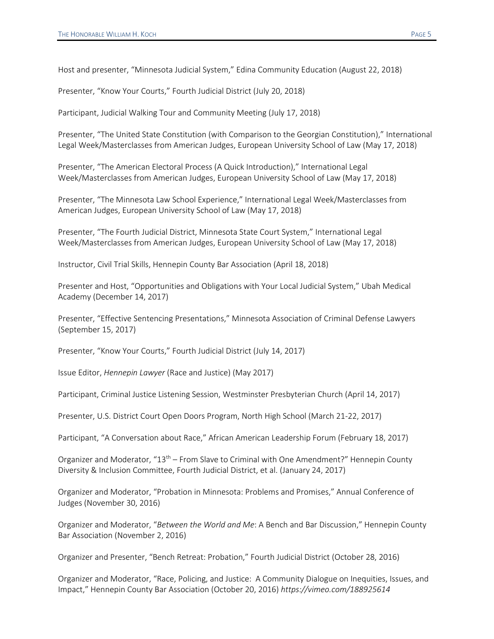Host and presenter, "Minnesota Judicial System," Edina Community Education (August 22, 2018)

Presenter, "Know Your Courts," Fourth Judicial District (July 20, 2018)

Participant, Judicial Walking Tour and Community Meeting (July 17, 2018)

Presenter, "The United State Constitution (with Comparison to the Georgian Constitution)," International Legal Week/Masterclasses from American Judges, European University School of Law (May 17, 2018)

Presenter, "The American Electoral Process (A Quick Introduction)," International Legal Week/Masterclasses from American Judges, European University School of Law (May 17, 2018)

Presenter, "The Minnesota Law School Experience," International Legal Week/Masterclasses from American Judges, European University School of Law (May 17, 2018)

Presenter, "The Fourth Judicial District, Minnesota State Court System," International Legal Week/Masterclasses from American Judges, European University School of Law (May 17, 2018)

Instructor, Civil Trial Skills, Hennepin County Bar Association (April 18, 2018)

Presenter and Host, "Opportunities and Obligations with Your Local Judicial System," Ubah Medical Academy (December 14, 2017)

Presenter, "Effective Sentencing Presentations," Minnesota Association of Criminal Defense Lawyers (September 15, 2017)

Presenter, "Know Your Courts," Fourth Judicial District (July 14, 2017)

Issue Editor, *Hennepin Lawyer* (Race and Justice) (May 2017)

Participant, Criminal Justice Listening Session, Westminster Presbyterian Church (April 14, 2017)

Presenter, U.S. District Court Open Doors Program, North High School (March 21-22, 2017)

Participant, "A Conversation about Race," African American Leadership Forum (February 18, 2017)

Organizer and Moderator, " $13<sup>th</sup>$  – From Slave to Criminal with One Amendment?" Hennepin County Diversity & Inclusion Committee, Fourth Judicial District, et al. (January 24, 2017)

Organizer and Moderator, "Probation in Minnesota: Problems and Promises," Annual Conference of Judges (November 30, 2016)

Organizer and Moderator, "*Between the World and Me*: A Bench and Bar Discussion," Hennepin County Bar Association (November 2, 2016)

Organizer and Presenter, "Bench Retreat: Probation," Fourth Judicial District (October 28, 2016)

Organizer and Moderator, "Race, Policing, and Justice: A Community Dialogue on Inequities, Issues, and Impact," Hennepin County Bar Association (October 20, 2016) *https://vimeo.com/188925614*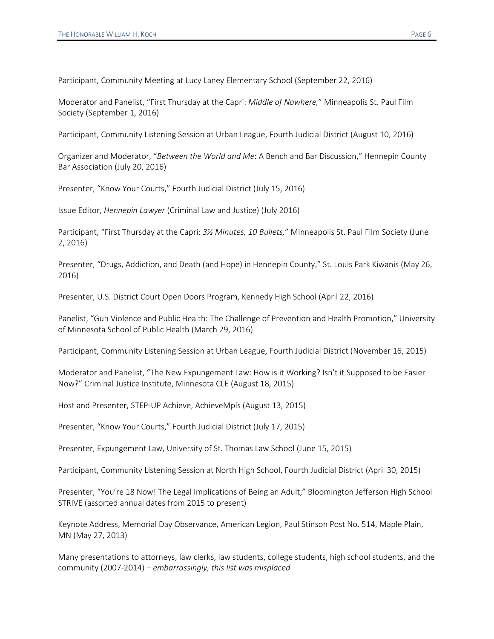Participant, Community Meeting at Lucy Laney Elementary School (September 22, 2016)

Moderator and Panelist, "First Thursday at the Capri: *Middle of Nowhere,*" Minneapolis St. Paul Film Society (September 1, 2016)

Participant, Community Listening Session at Urban League, Fourth Judicial District (August 10, 2016)

Organizer and Moderator, "*Between the World and Me*: A Bench and Bar Discussion," Hennepin County Bar Association (July 20, 2016)

Presenter, "Know Your Courts," Fourth Judicial District (July 15, 2016)

Issue Editor, *Hennepin Lawyer* (Criminal Law and Justice) (July 2016)

Participant, "First Thursday at the Capri: *3½ Minutes, 10 Bullets,*" Minneapolis St. Paul Film Society (June 2, 2016)

Presenter, "Drugs, Addiction, and Death (and Hope) in Hennepin County," St. Louis Park Kiwanis (May 26, 2016)

Presenter, U.S. District Court Open Doors Program, Kennedy High School (April 22, 2016)

Panelist, "Gun Violence and Public Health: The Challenge of Prevention and Health Promotion," University of Minnesota School of Public Health (March 29, 2016)

Participant, Community Listening Session at Urban League, Fourth Judicial District (November 16, 2015)

Moderator and Panelist, "The New Expungement Law: How is it Working? Isn't it Supposed to be Easier Now?" Criminal Justice Institute, Minnesota CLE (August 18, 2015)

Host and Presenter, STEP-UP Achieve, AchieveMpls (August 13, 2015)

Presenter, "Know Your Courts," Fourth Judicial District (July 17, 2015)

Presenter, Expungement Law, University of St. Thomas Law School (June 15, 2015)

Participant, Community Listening Session at North High School, Fourth Judicial District (April 30, 2015)

Presenter, "You're 18 Now! The Legal Implications of Being an Adult," Bloomington Jefferson High School STRIVE (assorted annual dates from 2015 to present)

Keynote Address, Memorial Day Observance, American Legion, Paul Stinson Post No. 514, Maple Plain, MN (May 27, 2013)

Many presentations to attorneys, law clerks, law students, college students, high school students, and the community (2007-2014) – *embarrassingly, this list was misplaced*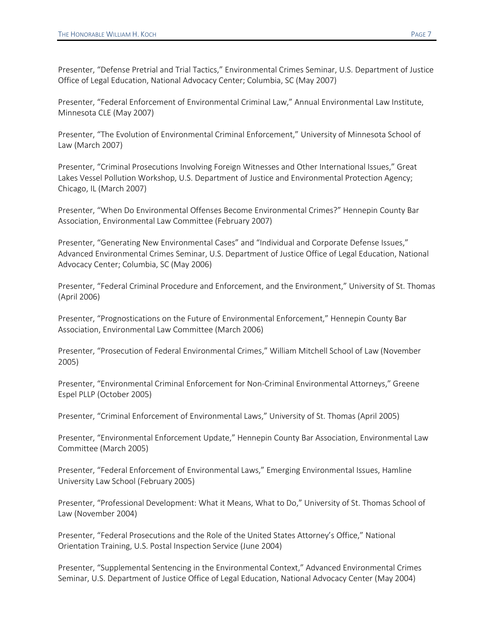Presenter, "Defense Pretrial and Trial Tactics," Environmental Crimes Seminar, U.S. Department of Justice Office of Legal Education, National Advocacy Center; Columbia, SC (May 2007)

Presenter, "Federal Enforcement of Environmental Criminal Law," Annual Environmental Law Institute, Minnesota CLE (May 2007)

Presenter, "The Evolution of Environmental Criminal Enforcement," University of Minnesota School of Law (March 2007)

Presenter, "Criminal Prosecutions Involving Foreign Witnesses and Other International Issues," Great Lakes Vessel Pollution Workshop, U.S. Department of Justice and Environmental Protection Agency; Chicago, IL (March 2007)

Presenter, "When Do Environmental Offenses Become Environmental Crimes?" Hennepin County Bar Association, Environmental Law Committee (February 2007)

Presenter, "Generating New Environmental Cases" and "Individual and Corporate Defense Issues," Advanced Environmental Crimes Seminar, U.S. Department of Justice Office of Legal Education, National Advocacy Center; Columbia, SC (May 2006)

Presenter, "Federal Criminal Procedure and Enforcement, and the Environment," University of St. Thomas (April 2006)

Presenter, "Prognostications on the Future of Environmental Enforcement," Hennepin County Bar Association, Environmental Law Committee (March 2006)

Presenter, "Prosecution of Federal Environmental Crimes," William Mitchell School of Law (November 2005)

Presenter, "Environmental Criminal Enforcement for Non-Criminal Environmental Attorneys," Greene Espel PLLP (October 2005)

Presenter, "Criminal Enforcement of Environmental Laws," University of St. Thomas (April 2005)

Presenter, "Environmental Enforcement Update," Hennepin County Bar Association, Environmental Law Committee (March 2005)

Presenter, "Federal Enforcement of Environmental Laws," Emerging Environmental Issues, Hamline University Law School (February 2005)

Presenter, "Professional Development: What it Means, What to Do," University of St. Thomas School of Law (November 2004)

Presenter, "Federal Prosecutions and the Role of the United States Attorney's Office," National Orientation Training, U.S. Postal Inspection Service (June 2004)

Presenter, "Supplemental Sentencing in the Environmental Context," Advanced Environmental Crimes Seminar, U.S. Department of Justice Office of Legal Education, National Advocacy Center (May 2004)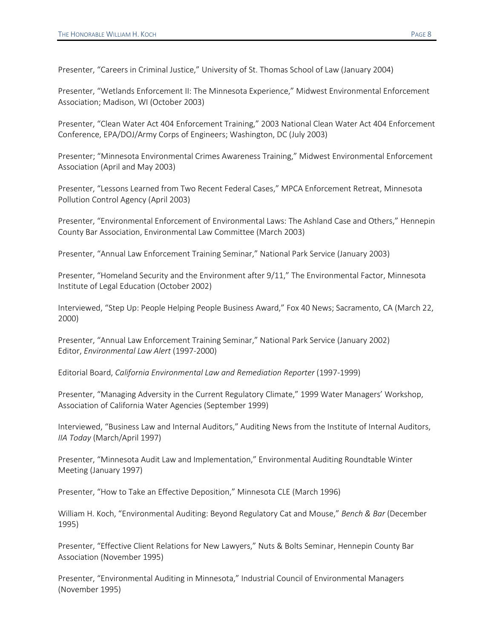Presenter, "Careers in Criminal Justice," University of St. Thomas School of Law (January 2004)

Presenter, "Wetlands Enforcement II: The Minnesota Experience," Midwest Environmental Enforcement Association; Madison, WI (October 2003)

Presenter, "Clean Water Act 404 Enforcement Training," 2003 National Clean Water Act 404 Enforcement Conference, EPA/DOJ/Army Corps of Engineers; Washington, DC (July 2003)

Presenter; "Minnesota Environmental Crimes Awareness Training," Midwest Environmental Enforcement Association (April and May 2003)

Presenter, "Lessons Learned from Two Recent Federal Cases," MPCA Enforcement Retreat, Minnesota Pollution Control Agency (April 2003)

Presenter, "Environmental Enforcement of Environmental Laws: The Ashland Case and Others," Hennepin County Bar Association, Environmental Law Committee (March 2003)

Presenter, "Annual Law Enforcement Training Seminar," National Park Service (January 2003)

Presenter, "Homeland Security and the Environment after 9/11," The Environmental Factor, Minnesota Institute of Legal Education (October 2002)

Interviewed, "Step Up: People Helping People Business Award," Fox 40 News; Sacramento, CA (March 22, 2000)

Presenter, "Annual Law Enforcement Training Seminar," National Park Service (January 2002) Editor, *Environmental Law Alert* (1997-2000)

Editorial Board, *California Environmental Law and Remediation Reporter* (1997-1999)

Presenter, "Managing Adversity in the Current Regulatory Climate," 1999 Water Managers' Workshop, Association of California Water Agencies (September 1999)

Interviewed, "Business Law and Internal Auditors," Auditing News from the Institute of Internal Auditors, *IIA Today* (March/April 1997)

Presenter, "Minnesota Audit Law and Implementation," Environmental Auditing Roundtable Winter Meeting (January 1997)

Presenter, "How to Take an Effective Deposition," Minnesota CLE (March 1996)

William H. Koch, "Environmental Auditing: Beyond Regulatory Cat and Mouse," *Bench & Bar* (December 1995)

Presenter, "Effective Client Relations for New Lawyers," Nuts & Bolts Seminar, Hennepin County Bar Association (November 1995)

Presenter, "Environmental Auditing in Minnesota," Industrial Council of Environmental Managers (November 1995)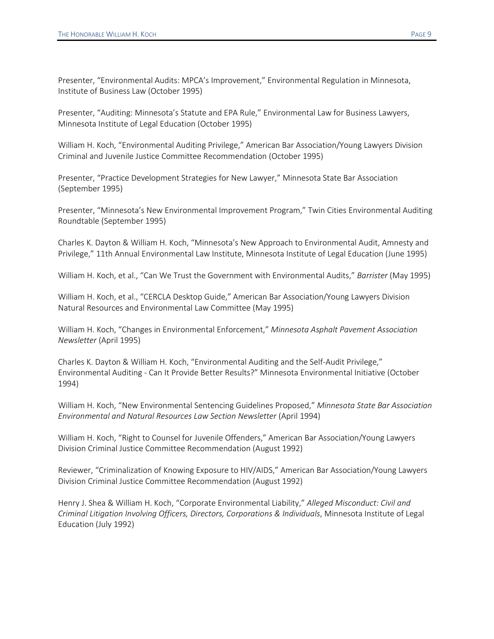Presenter, "Environmental Audits: MPCA's Improvement," Environmental Regulation in Minnesota, Institute of Business Law (October 1995)

Presenter, "Auditing: Minnesota's Statute and EPA Rule," Environmental Law for Business Lawyers, Minnesota Institute of Legal Education (October 1995)

William H. Koch, "Environmental Auditing Privilege," American Bar Association/Young Lawyers Division Criminal and Juvenile Justice Committee Recommendation (October 1995)

Presenter, "Practice Development Strategies for New Lawyer," Minnesota State Bar Association (September 1995)

Presenter, "Minnesota's New Environmental Improvement Program," Twin Cities Environmental Auditing Roundtable (September 1995)

Charles K. Dayton & William H. Koch, "Minnesota's New Approach to Environmental Audit, Amnesty and Privilege," 11th Annual Environmental Law Institute, Minnesota Institute of Legal Education (June 1995)

William H. Koch, et al., "Can We Trust the Government with Environmental Audits," *Barrister* (May 1995)

William H. Koch, et al., "CERCLA Desktop Guide," American Bar Association/Young Lawyers Division Natural Resources and Environmental Law Committee (May 1995)

William H. Koch, "Changes in Environmental Enforcement," *Minnesota Asphalt Pavement Association Newsletter* (April 1995)

Charles K. Dayton & William H. Koch, "Environmental Auditing and the Self-Audit Privilege," Environmental Auditing - Can It Provide Better Results?" Minnesota Environmental Initiative (October 1994)

William H. Koch, "New Environmental Sentencing Guidelines Proposed," *Minnesota State Bar Association Environmental and Natural Resources Law Section Newsletter* (April 1994)

William H. Koch, "Right to Counsel for Juvenile Offenders," American Bar Association/Young Lawyers Division Criminal Justice Committee Recommendation (August 1992)

Reviewer, "Criminalization of Knowing Exposure to HIV/AIDS," American Bar Association/Young Lawyers Division Criminal Justice Committee Recommendation (August 1992)

Henry J. Shea & William H. Koch, "Corporate Environmental Liability," *Alleged Misconduct: Civil and Criminal Litigation Involving Officers, Directors, Corporations & Individuals*, Minnesota Institute of Legal Education (July 1992)